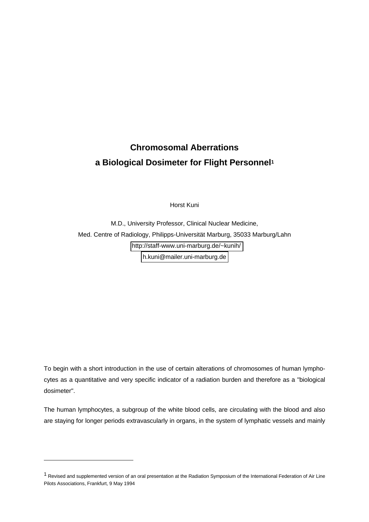# **Chromosomal Aberrations a Biological Dosimeter for Flight Personnel1**

Horst Kuni

M.D., University Professor, Clinical Nuclear Medicine, Med. Centre of Radiology, Philipps-Universität Marburg, 35033 Marburg/Lahn <http://staff-www.uni-marburg.de/~kunih/> [h.kuni@mailer.uni-marburg.de](mailto:h.kuni@mailer.uni-marburg.de)

To begin with a short introduction in the use of certain alterations of chromosomes of human lymphocytes as a quantitative and very specific indicator of a radiation burden and therefore as a "biological dosimeter".

The human lymphocytes, a subgroup of the white blood cells, are circulating with the blood and also are staying for longer periods extravascularly in organs, in the system of lymphatic vessels and mainly

-

<sup>1</sup> Revised and supplemented version of an oral presentation at the Radiation Symposium of the International Federation of Air Line Pilots Associations, Frankfurt, 9 May 1994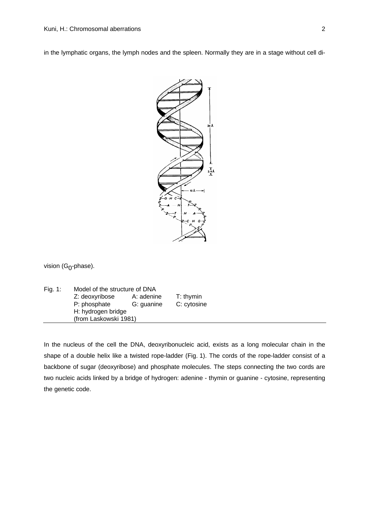in the lymphatic organs, the lymph nodes and the spleen. Normally they are in a stage without cell di-



vision (G<sub>0</sub>-phase).

| Fig. 1: | Model of the structure of DNA |            |             |  |  |
|---------|-------------------------------|------------|-------------|--|--|
|         | Z: deoxyribose                | A: adenine | $T:$ thymin |  |  |
|         | P: phosphate                  | G: guanine | C: cytosine |  |  |
|         | H: hydrogen bridge            |            |             |  |  |
|         | (from Laskowski 1981)         |            |             |  |  |

In the nucleus of the cell the DNA, deoxyribonucleic acid, exists as a long molecular chain in the shape of a double helix like a twisted rope-ladder (Fig. 1). The cords of the rope-ladder consist of a backbone of sugar (deoxyribose) and phosphate molecules. The steps connecting the two cords are two nucleic acids linked by a bridge of hydrogen: adenine - thymin or guanine - cytosine, representing the genetic code.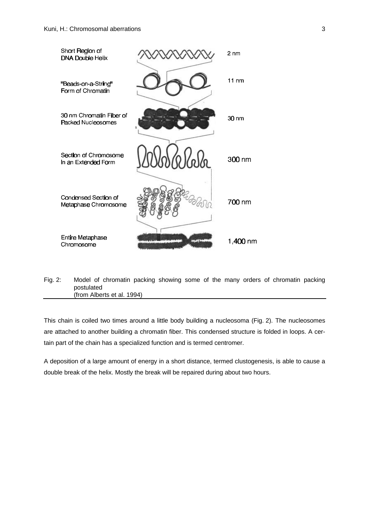

Fig. 2: Model of chromatin packing showing some of the many orders of chromatin packing postulated (from Alberts et al. 1994)

This chain is coiled two times around a little body building a nucleosoma (Fig. 2). The nucleosomes are attached to another building a chromatin fiber. This condensed structure is folded in loops. A certain part of the chain has a specialized function and is termed centromer.

A deposition of a large amount of energy in a short distance, termed clustogenesis, is able to cause a double break of the helix. Mostly the break will be repaired during about two hours.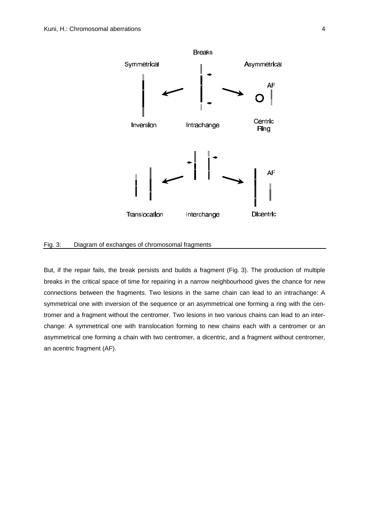

#### Fig. 3: Diagram of exchanges of chromosomal fragments

But, if the repair fails, the break persists and builds a fragment (Fig. 3). The production of multiple breaks in the critical space of time for repairing in a narrow neighbourhood gives the chance for new connections between the fragments. Two lesions in the same chain can lead to an intrachange: A symmetrical one with inversion of the sequence or an asymmetrical one forming a ring with the centromer and a fragment without the centromer. Two lesions in two various chains can lead to an interchange: A symmetrical one with translocation forming to new chains each with a centromer or an asymmetrical one forming a chain with two centromer, a dicentric, and a fragment without centromer, an acentric fragment (AF).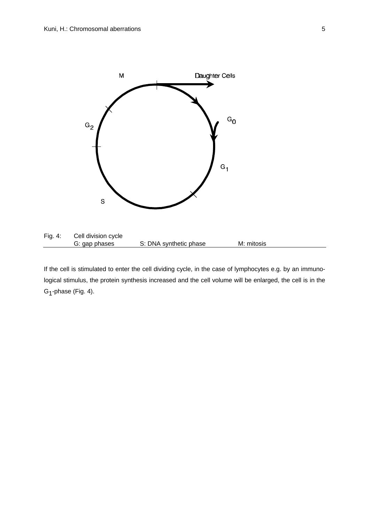

If the cell is stimulated to enter the cell dividing cycle, in the case of lymphocytes e.g. by an immunological stimulus, the protein synthesis increased and the cell volume will be enlarged, the cell is in the G<sub>1</sub>-phase (Fig. 4).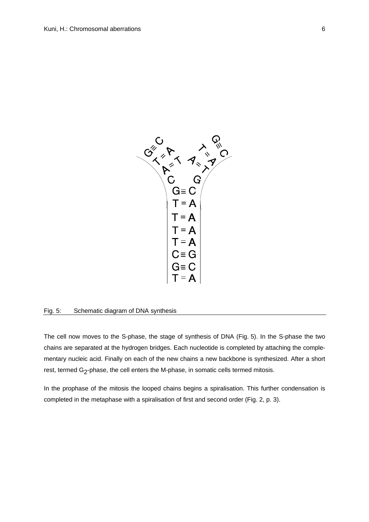

#### Fig. 5: Schematic diagram of DNA synthesis

The cell now moves to the S-phase, the stage of synthesis of DNA (Fig. 5). In the S-phase the two chains are separated at the hydrogen bridges. Each nucleotide is completed by attaching the complementary nucleic acid. Finally on each of the new chains a new backbone is synthesized. After a short rest, termed G<sub>2</sub>-phase, the cell enters the M-phase, in somatic cells termed mitosis.

In the prophase of the mitosis the looped chains begins a spiralisation. This further condensation is completed in the metaphase with a spiralisation of first and second order (Fig. 2, p. 3).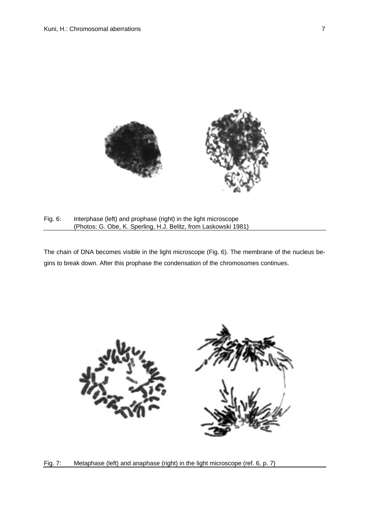

Fig. 6: Interphase (left) and prophase (right) in the light microscope (Photos: G. Obe, K. Sperling, H.J. Belitz, from Laskowski 1981)

The chain of DNA becomes visible in the light microscope (Fig. 6). The membrane of the nucleus begins to break down. After this prophase the condensation of the chromosomes continues.



Fig. 7: Metaphase (left) and anaphase (right) in the light microscope (ref. 6, p. 7)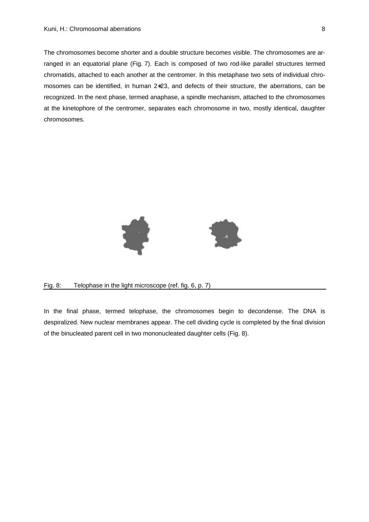The chromosomes become shorter and a double structure becomes visible. The chromosomes are arranged in an equatorial plane (Fig. 7). Each is composed of two rod-like parallel structures termed chromatids, attached to each another at the centromer. In this metaphase two sets of individual chromosomes can be identified, in human 2∗23, and defects of their structure, the aberrations, can be recognized. In the next phase, termed anaphase, a spindle mechanism, attached to the chromosomes at the kinetophore of the centromer, separates each chromosome in two, mostly identical, daughter chromosomes.



#### Fig. 8: Telophase in the light microscope (ref. fig. 6, p. 7)

In the final phase, termed telophase, the chromosomes begin to decondense. The DNA is despiralized. New nuclear membranes appear. The cell dividing cycle is completed by the final division of the binucleated parent cell in two mononucleated daughter cells (Fig. 8).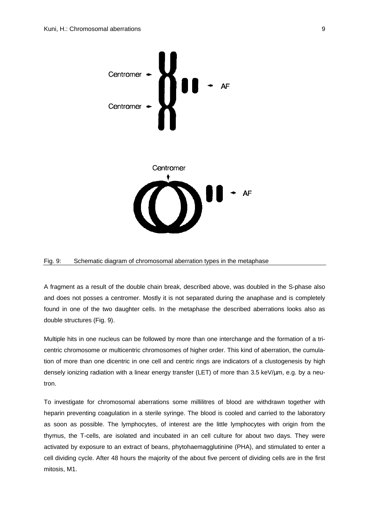

#### Fig. 9: Schematic diagram of chromosomal aberration types in the metaphase

A fragment as a result of the double chain break, described above, was doubled in the S-phase also and does not posses a centromer. Mostly it is not separated during the anaphase and is completely found in one of the two daughter cells. In the metaphase the described aberrations looks also as double structures (Fig. 9).

Multiple hits in one nucleus can be followed by more than one interchange and the formation of a tricentric chromosome or multicentric chromosomes of higher order. This kind of aberration, the cumulation of more than one dicentric in one cell and centric rings are indicators of a clustogenesis by high densely ionizing radiation with a linear energy transfer (LET) of more than 3.5 keV/μm, e.g. by a neutron.

To investigate for chromosomal aberrations some millilitres of blood are withdrawn together with heparin preventing coagulation in a sterile syringe. The blood is cooled and carried to the laboratory as soon as possible. The lymphocytes, of interest are the little lymphocytes with origin from the thymus, the T-cells, are isolated and incubated in an cell culture for about two days. They were activated by exposure to an extract of beans, phytohaemagglutinine (PHA), and stimulated to enter a cell dividing cycle. After 48 hours the majority of the about five percent of dividing cells are in the first mitosis, M1.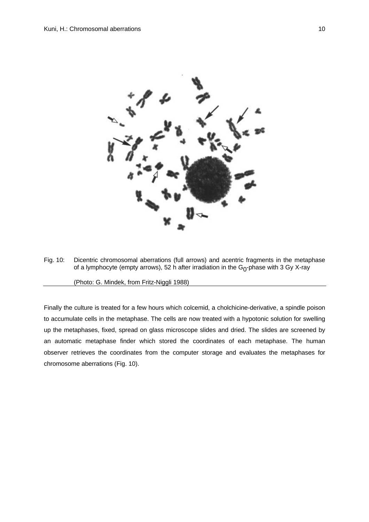

Fig. 10: Dicentric chromosomal aberrations (full arrows) and acentric fragments in the metaphase of a lymphocyte (empty arrows), 52 h after irradiation in the G<sub>0</sub>-phase with 3 Gy X-ray

(Photo: G. Mindek, from Fritz-Niggli 1988)

Finally the culture is treated for a few hours which colcemid, a cholchicine-derivative, a spindle poison to accumulate cells in the metaphase. The cells are now treated with a hypotonic solution for swelling up the metaphases, fixed, spread on glass microscope slides and dried. The slides are screened by an automatic metaphase finder which stored the coordinates of each metaphase. The human observer retrieves the coordinates from the computer storage and evaluates the metaphases for chromosome aberrations (Fig. 10).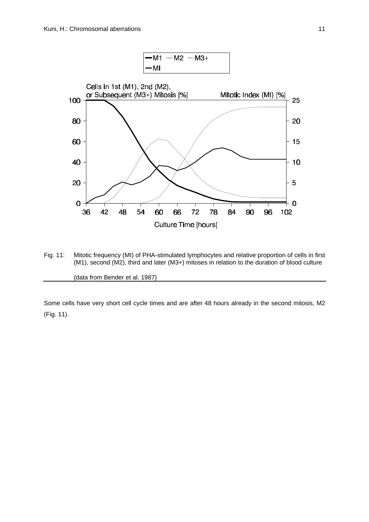

Fig. 11: Mitotic frequency (MI) of PHA-stimulated lymphocytes and relative proportion of cells in first (M1), second (M2), third and later (M3+) mitoses in relation to the duration of blood culture

(data from Bender et al. 1987)

Some cells have very short cell cycle times and are after 48 hours already in the second mitosis, M2 (Fig. 11).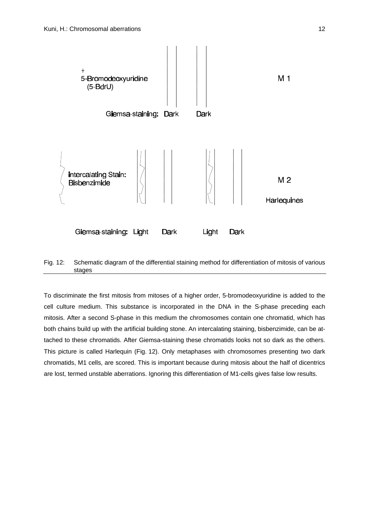



To discriminate the first mitosis from mitoses of a higher order, 5-bromodeoxyuridine is added to the cell culture medium. This substance is incorporated in the DNA in the S-phase preceding each mitosis. After a second S-phase in this medium the chromosomes contain one chromatid, which has both chains build up with the artificial building stone. An intercalating staining, bisbenzimide, can be attached to these chromatids. After Giemsa-staining these chromatids looks not so dark as the others. This picture is called Harlequin (Fig. 12). Only metaphases with chromosomes presenting two dark chromatids, M1 cells, are scored. This is important because during mitosis about the half of dicentrics are lost, termed unstable aberrations. Ignoring this differentiation of M1-cells gives false low results.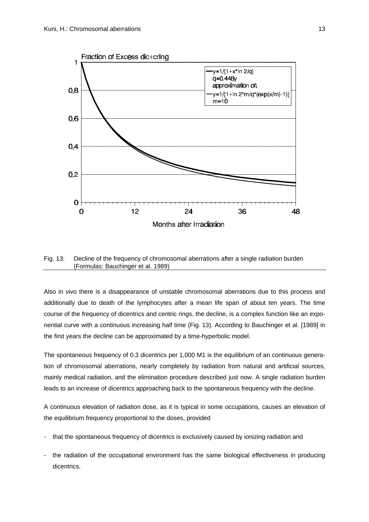

Fig. 13: Decline of the frequency of chromosomal aberrations after a single radiation burden (Formulas: Bauchinger et al. 1989)

Also in vivo there is a disappearance of unstable chromosomal aberrations due to this process and additionally due to death of the lymphocytes after a mean life span of about ten years. The time course of the frequency of dicentrics and centric rings, the decline, is a complex function like an exponential curve with a continuous increasing half time (Fig. 13). According to Bauchinger et al. [1989] in the first years the decline can be approximated by a time-hyperbolic model.

The spontaneous frequency of 0.3 dicentrics per 1,000 M1 is the equilibrium of an continuous generation of chromosomal aberrations, nearly completely by radiation from natural and artificial sources, mainly medical radiation, and the elimination procedure described just now. A single radiation burden leads to an increase of dicentrics approaching back to the spontaneous frequency with the decline.

A continuous elevation of radiation dose, as it is typical in some occupations, causes an elevation of the equilibrium frequency proportional to the doses, provided

- that the spontaneous frequency of dicentrics is exclusively caused by ionizing radiation and
- the radiation of the occupational environment has the same biological effectiveness in producing dicentrics.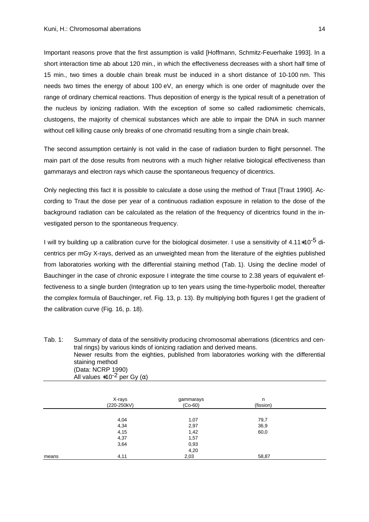Important reasons prove that the first assumption is valid [Hoffmann, Schmitz-Feuerhake 1993]. In a short interaction time ab about 120 min., in which the effectiveness decreases with a short half time of 15 min., two times a double chain break must be induced in a short distance of 10-100 nm. This needs two times the energy of about 100 eV, an energy which is one order of magnitude over the range of ordinary chemical reactions. Thus deposition of energy is the typical result of a penetration of the nucleus by ionizing radiation. With the exception of some so called radiomimetic chemicals, clustogens, the majority of chemical substances which are able to impair the DNA in such manner without cell killing cause only breaks of one chromatid resulting from a single chain break.

The second assumption certainly is not valid in the case of radiation burden to flight personnel. The main part of the dose results from neutrons with a much higher relative biological effectiveness than gammarays and electron rays which cause the spontaneous frequency of dicentrics.

Only neglecting this fact it is possible to calculate a dose using the method of Traut [Traut 1990]. According to Traut the dose per year of a continuous radiation exposure in relation to the dose of the background radiation can be calculated as the relation of the frequency of dicentrics found in the investigated person to the spontaneous frequency.

I will try building up a calibration curve for the biological dosimeter. I use a sensitivity of 4.11∗10-5 dicentrics per mGy X-rays, derived as an unweighted mean from the literature of the eighties published from laboratories working with the differential staining method (Tab. 1). Using the decline model of Bauchinger in the case of chronic exposure I integrate the time course to 2.38 years of equivalent effectiveness to a single burden (Integration up to ten years using the time-hyperbolic model, thereafter the complex formula of Bauchinger, ref. Fig. 13, p. 13). By multiplying both figures I get the gradient of the calibration curve (Fig. 16, p. 18).

| Tab. 1: | Summary of data of the sensitivity producing chromosomal aberrations (dicentrics and cen-  |
|---------|--------------------------------------------------------------------------------------------|
|         | tral rings) by various kinds of ionizing radiation and derived means.                      |
|         | Newer results from the eighties, published from laboratories working with the differential |
|         | staining method                                                                            |
|         | (Data: NCRP 1990)                                                                          |
|         | All values *10 <sup>-2</sup> per Gy ( $\alpha$ )                                           |

|       | X-rays<br>(220-250kV) | gammarays<br>$(Co-60)$ | n<br>(fission) |  |
|-------|-----------------------|------------------------|----------------|--|
|       |                       |                        |                |  |
|       | 4,04                  | 1,07                   | 79,7           |  |
|       | 4,34                  | 2,97                   | 36,9           |  |
|       | 4,15                  | 1,42                   | 60,0           |  |
|       | 4,37                  | 1,57                   |                |  |
|       | 3,64                  | 0,93                   |                |  |
|       |                       | 4,20                   |                |  |
| means | 4,11                  | 2,03                   | 58,87          |  |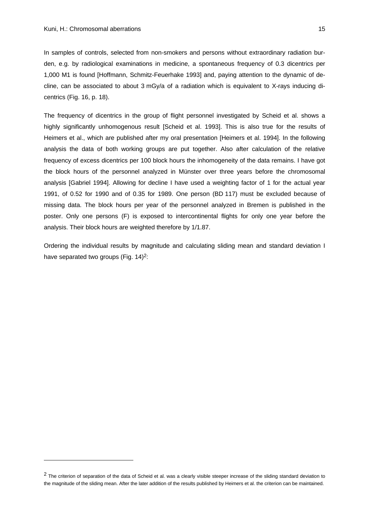-

In samples of controls, selected from non-smokers and persons without extraordinary radiation burden, e.g. by radiological examinations in medicine, a spontaneous frequency of 0.3 dicentrics per 1,000 M1 is found [Hoffmann, Schmitz-Feuerhake 1993] and, paying attention to the dynamic of decline, can be associated to about 3 mGy/a of a radiation which is equivalent to X-rays inducing dicentrics (Fig. 16, p. 18).

The frequency of dicentrics in the group of flight personnel investigated by Scheid et al. shows a highly significantly unhomogenous result [Scheid et al. 1993]. This is also true for the results of Heimers et al., which are published after my oral presentation [Heimers et al. 1994]. In the following analysis the data of both working groups are put together. Also after calculation of the relative frequency of excess dicentrics per 100 block hours the inhomogeneity of the data remains. I have got the block hours of the personnel analyzed in Münster over three years before the chromosomal analysis [Gabriel 1994]. Allowing for decline I have used a weighting factor of 1 for the actual year 1991, of 0.52 for 1990 and of 0.35 for 1989. One person (BD 117) must be excluded because of missing data. The block hours per year of the personnel analyzed in Bremen is published in the poster. Only one persons (F) is exposed to intercontinental flights for only one year before the analysis. Their block hours are weighted therefore by 1/1.87.

Ordering the individual results by magnitude and calculating sliding mean and standard deviation I have separated two groups (Fig. 14)<sup>2</sup>:

 $<sup>2</sup>$  The criterion of separation of the data of Scheid et al. was a clearly visible steeper increase of the sliding standard deviation to</sup> the magnitude of the sliding mean. After the later addition of the results published by Heimers et al. the criterion can be maintained.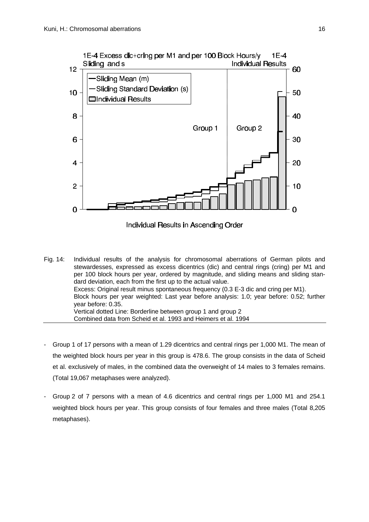

Individual Results in Ascending Order

- Fig. 14: Individual results of the analysis for chromosomal aberrations of German pilots and stewardesses, expressed as excess dicentrics (dic) and central rings (cring) per M1 and per 100 block hours per year, ordered by magnitude, and sliding means and sliding standard deviation, each from the first up to the actual value. Excess: Original result minus spontaneous frequency (0.3 E-3 dic and cring per M1). Block hours per year weighted: Last year before analysis: 1.0; year before: 0.52; further year before: 0.35. Vertical dotted Line: Borderline between group 1 and group 2 Combined data from Scheid et al. 1993 and Heimers et al. 1994
- Group 1 of 17 persons with a mean of 1.29 dicentrics and central rings per 1,000 M1. The mean of the weighted block hours per year in this group is 478.6. The group consists in the data of Scheid et al. exclusively of males, in the combined data the overweight of 14 males to 3 females remains. (Total 19,067 metaphases were analyzed).
- Group 2 of 7 persons with a mean of 4.6 dicentrics and central rings per 1,000 M1 and 254.1 weighted block hours per year. This group consists of four females and three males (Total 8,205 metaphases).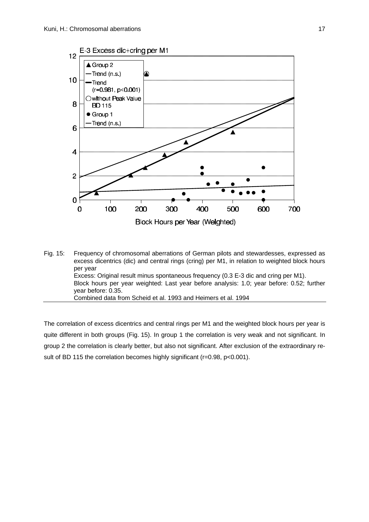

Fig. 15: Frequency of chromosomal aberrations of German pilots and stewardesses, expressed as excess dicentrics (dic) and central rings (cring) per M1, in relation to weighted block hours per year Excess: Original result minus spontaneous frequency (0.3 E-3 dic and cring per M1). Block hours per year weighted: Last year before analysis: 1.0; year before: 0.52; further year before: 0.35. Combined data from Scheid et al. 1993 and Heimers et al. 1994

The correlation of excess dicentrics and central rings per M1 and the weighted block hours per year is quite different in both groups (Fig. 15). In group 1 the correlation is very weak and not significant. In group 2 the correlation is clearly better, but also not significant. After exclusion of the extraordinary result of BD 115 the correlation becomes highly significant (r=0.98, p<0.001).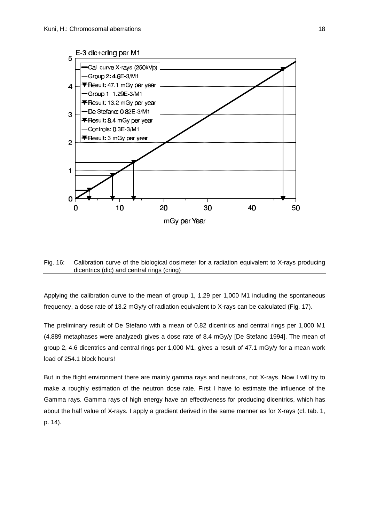

## Fig. 16: Calibration curve of the biological dosimeter for a radiation equivalent to X-rays producing dicentrics (dic) and central rings (cring)

Applying the calibration curve to the mean of group 1, 1.29 per 1,000 M1 including the spontaneous frequency, a dose rate of 13.2 mGy/y of radiation equivalent to X-rays can be calculated (Fig. 17).

The preliminary result of De Stefano with a mean of 0.82 dicentrics and central rings per 1,000 M1 (4,889 metaphases were analyzed) gives a dose rate of 8.4 mGy/y [De Stefano 1994]. The mean of group 2, 4.6 dicentrics and central rings per 1,000 M1, gives a result of 47.1 mGy/y for a mean work load of 254.1 block hours!

But in the flight environment there are mainly gamma rays and neutrons, not X-rays. Now I will try to make a roughly estimation of the neutron dose rate. First I have to estimate the influence of the Gamma rays. Gamma rays of high energy have an effectiveness for producing dicentrics, which has about the half value of X-rays. I apply a gradient derived in the same manner as for X-rays (cf. tab. 1, p. 14).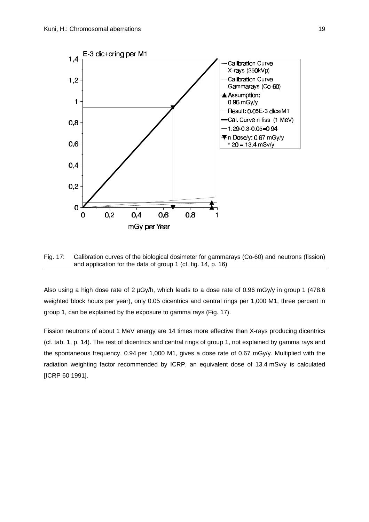

Fig. 17: Calibration curves of the biological dosimeter for gammarays (Co-60) and neutrons (fission) and application for the data of group 1 (cf. fig. 14, p. 16)

Also using a high dose rate of 2 μGy/h, which leads to a dose rate of 0.96 mGy/y in group 1 (478.6 weighted block hours per year), only 0.05 dicentrics and central rings per 1,000 M1, three percent in group 1, can be explained by the exposure to gamma rays (Fig. 17).

Fission neutrons of about 1 MeV energy are 14 times more effective than X-rays producing dicentrics (cf. tab. 1, p. 14). The rest of dicentrics and central rings of group 1, not explained by gamma rays and the spontaneous frequency, 0.94 per 1,000 M1, gives a dose rate of 0.67 mGy/y. Multiplied with the radiation weighting factor recommended by ICRP, an equivalent dose of 13.4 mSv/y is calculated [ICRP 60 1991].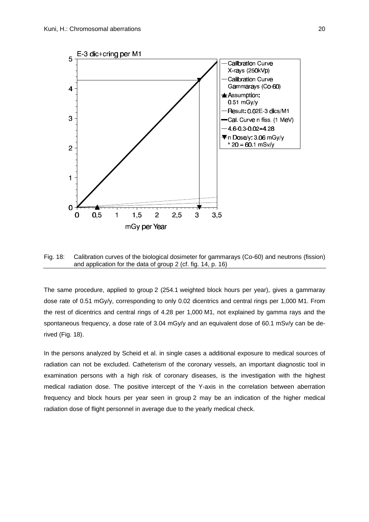

Fig. 18: Calibration curves of the biological dosimeter for gammarays (Co-60) and neutrons (fission) and application for the data of group 2 (cf. fig. 14, p. 16)

The same procedure, applied to group 2 (254.1 weighted block hours per year), gives a gammaray dose rate of 0.51 mGy/y, corresponding to only 0.02 dicentrics and central rings per 1,000 M1. From the rest of dicentrics and central rings of 4.28 per 1,000 M1, not explained by gamma rays and the spontaneous frequency, a dose rate of 3.04 mGy/y and an equivalent dose of 60.1 mSy/y can be derived (Fig. 18).

In the persons analyzed by Scheid et al. in single cases a additional exposure to medical sources of radiation can not be excluded. Catheterism of the coronary vessels, an important diagnostic tool in examination persons with a high risk of coronary diseases, is the investigation with the highest medical radiation dose. The positive intercept of the Y-axis in the correlation between aberration frequency and block hours per year seen in group 2 may be an indication of the higher medical radiation dose of flight personnel in average due to the yearly medical check.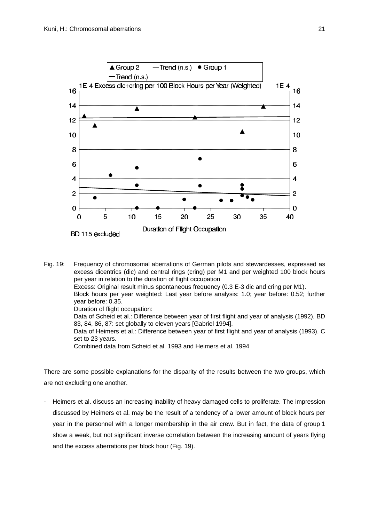

| Fig. 19: | Frequency of chromosomal aberrations of German pilots and stewardesses, expressed as<br>excess dicentrics (dic) and central rings (cring) per M1 and per weighted 100 block hours<br>per year in relation to the duration of flight occupation |
|----------|------------------------------------------------------------------------------------------------------------------------------------------------------------------------------------------------------------------------------------------------|
|          | Excess: Original result minus spontaneous frequency (0.3 E-3 dic and cring per M1).                                                                                                                                                            |
|          | Block hours per year weighted: Last year before analysis: 1.0; year before: 0.52; further<br>year before: 0.35.                                                                                                                                |
|          | Duration of flight occupation:                                                                                                                                                                                                                 |
|          | Data of Scheid et al.: Difference between year of first flight and year of analysis (1992). BD<br>83, 84, 86, 87: set globally to eleven years [Gabriel 1994].                                                                                 |
|          | Data of Heimers et al.: Difference between year of first flight and year of analysis (1993). C<br>set to 23 years.                                                                                                                             |
|          | Combined data from Scheid et al. 1993 and Heimers et al. 1994                                                                                                                                                                                  |

There are some possible explanations for the disparity of the results between the two groups, which are not excluding one another.

Heimers et al. discuss an increasing inability of heavy damaged cells to proliferate. The impression discussed by Heimers et al. may be the result of a tendency of a lower amount of block hours per year in the personnel with a longer membership in the air crew. But in fact, the data of group 1 show a weak, but not significant inverse correlation between the increasing amount of years flying and the excess aberrations per block hour (Fig. 19).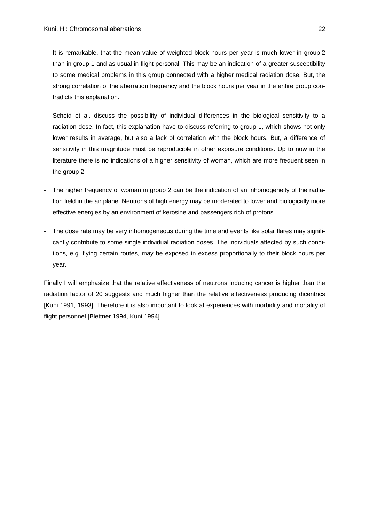- It is remarkable, that the mean value of weighted block hours per year is much lower in group 2 than in group 1 and as usual in flight personal. This may be an indication of a greater susceptibility to some medical problems in this group connected with a higher medical radiation dose. But, the strong correlation of the aberration frequency and the block hours per year in the entire group contradicts this explanation.
- Scheid et al. discuss the possibility of individual differences in the biological sensitivity to a radiation dose. In fact, this explanation have to discuss referring to group 1, which shows not only lower results in average, but also a lack of correlation with the block hours. But, a difference of sensitivity in this magnitude must be reproducible in other exposure conditions. Up to now in the literature there is no indications of a higher sensitivity of woman, which are more frequent seen in the group 2.
- The higher frequency of woman in group 2 can be the indication of an inhomogeneity of the radiation field in the air plane. Neutrons of high energy may be moderated to lower and biologically more effective energies by an environment of kerosine and passengers rich of protons.
- The dose rate may be very inhomogeneous during the time and events like solar flares may significantly contribute to some single individual radiation doses. The individuals affected by such conditions, e.g. flying certain routes, may be exposed in excess proportionally to their block hours per year.

Finally I will emphasize that the relative effectiveness of neutrons inducing cancer is higher than the radiation factor of 20 suggests and much higher than the relative effectiveness producing dicentrics [Kuni 1991, 1993]. Therefore it is also important to look at experiences with morbidity and mortality of flight personnel [Blettner 1994, Kuni 1994].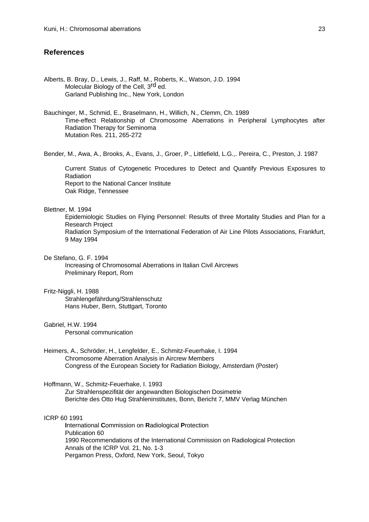## **References**

Alberts, B. Bray, D., Lewis, J., Raff, M., Roberts, K., Watson, J.D. 1994 Molecular Biology of the Cell, 3rd ed. Garland Publishing Inc., New York, London

Bauchinger, M., Schmid, E., Braselmann, H., Willich, N., Clemm, Ch. 1989 Time-effect Relationship of Chromosome Aberrations in Peripheral Lymphocytes after Radiation Therapy for Seminoma Mutation Res. 211, 265-272

Bender, M., Awa, A., Brooks, A., Evans, J., Groer, P., Littlefield, L.G.,. Pereira, C., Preston, J. 1987

Current Status of Cytogenetic Procedures to Detect and Quantify Previous Exposures to Radiation Report to the National Cancer Institute Oak Ridge, Tennessee

## Blettner, M. 1994

Epidemiologic Studies on Flying Personnel: Results of three Mortality Studies and Plan for a Research Project Radiation Symposium of the International Federation of Air Line Pilots Associations, Frankfurt,

9 May 1994

#### De Stefano, G. F. 1994

Increasing of Chromosomal Aberrations in Italian Civil Aircrews Preliminary Report, Rom

#### Fritz-Niggli, H. 1988

Strahlengefährdung/Strahlenschutz Hans Huber, Bern, Stuttgart, Toronto

#### Gabriel, H.W. 1994

Personal communication

Heimers, A., Schröder, H., Lengfelder, E., Schmitz-Feuerhake, I. 1994 Chromosome Aberration Analysis in Aircrew Members Congress of the European Society for Radiation Biology, Amsterdam (Poster)

#### Hoffmann, W., Schmitz-Feuerhake, I. 1993

Zur Strahlenspezifität der angewandten Biologischen Dosimetrie Berichte des Otto Hug Strahleninstitutes, Bonn, Bericht 7, MMV Verlag München

#### ICRP 60 1991

**I**nternational **C**ommission on **R**adiological **P**rotection Publication 60 1990 Recommendations of the International Commission on Radiological Protection Annals of the ICRP Vol. 21, No. 1-3 Pergamon Press, Oxford, New York, Seoul, Tokyo